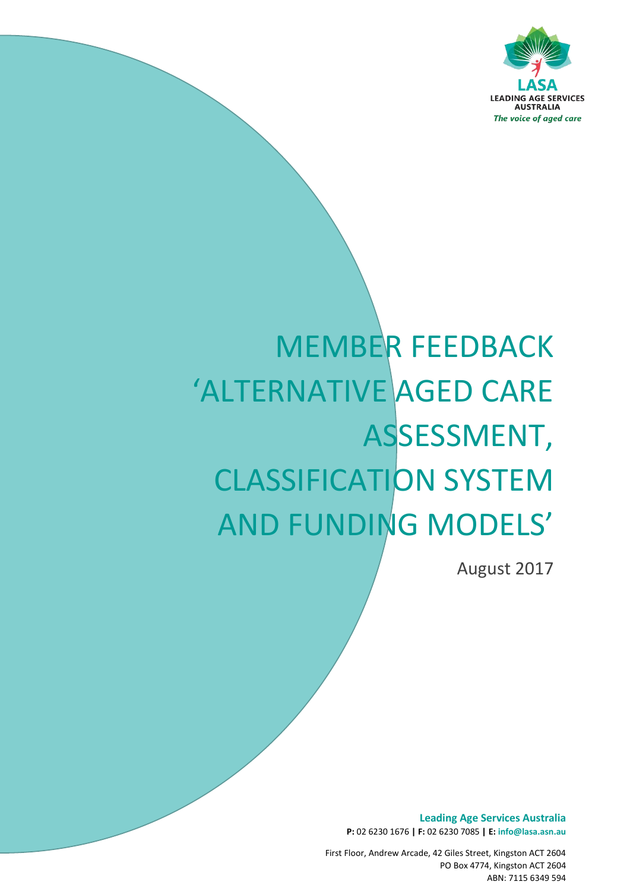

# MEMBER FEEDBACK 'ALTERNATIVE AGED CARE ASSESSMENT, CLASSIFICATION SYSTEM AND FUNDING MODELS'

*The voice of aged care*

August 2017

**Leading Age Services Australia P:** 02 6230 1676 **| F:** 02 6230 7085 **| E: info@lasa.asn.au**

First Floor, Andrew Arcade, 42 Giles Street, Kingston ACT 2604 PO Box 4774, Kingston ACT 2604 ABN: 7115 6349 594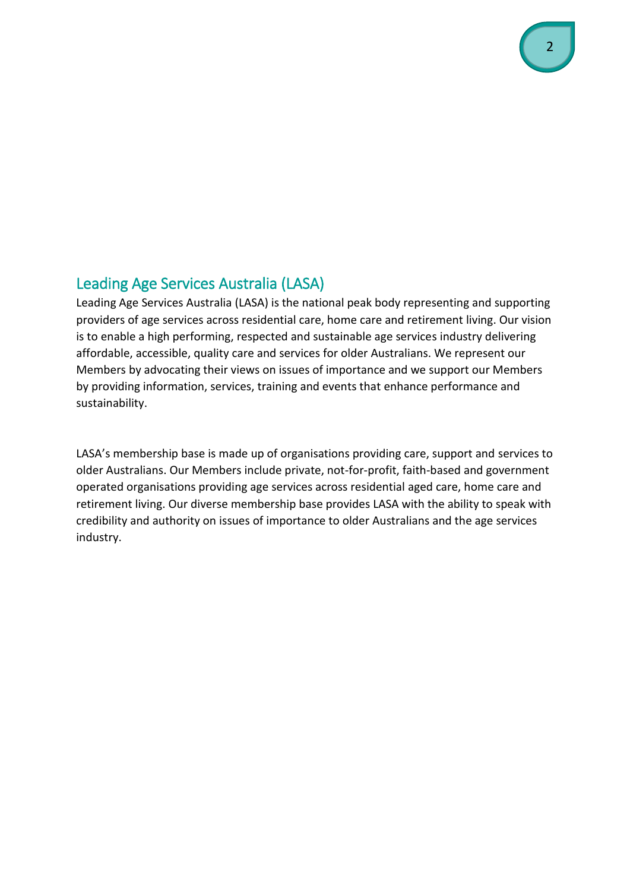## Leading Age Services Australia (LASA)

Leading Age Services Australia (LASA) is the national peak body representing and supporting providers of age services across residential care, home care and retirement living. Our vision is to enable a high performing, respected and sustainable age services industry delivering affordable, accessible, quality care and services for older Australians. We represent our Members by advocating their views on issues of importance and we support our Members by providing information, services, training and events that enhance performance and sustainability.

LASA's membership base is made up of organisations providing care, support and services to older Australians. Our Members include private, not-for-profit, faith-based and government operated organisations providing age services across residential aged care, home care and retirement living. Our diverse membership base provides LASA with the ability to speak with credibility and authority on issues of importance to older Australians and the age services industry.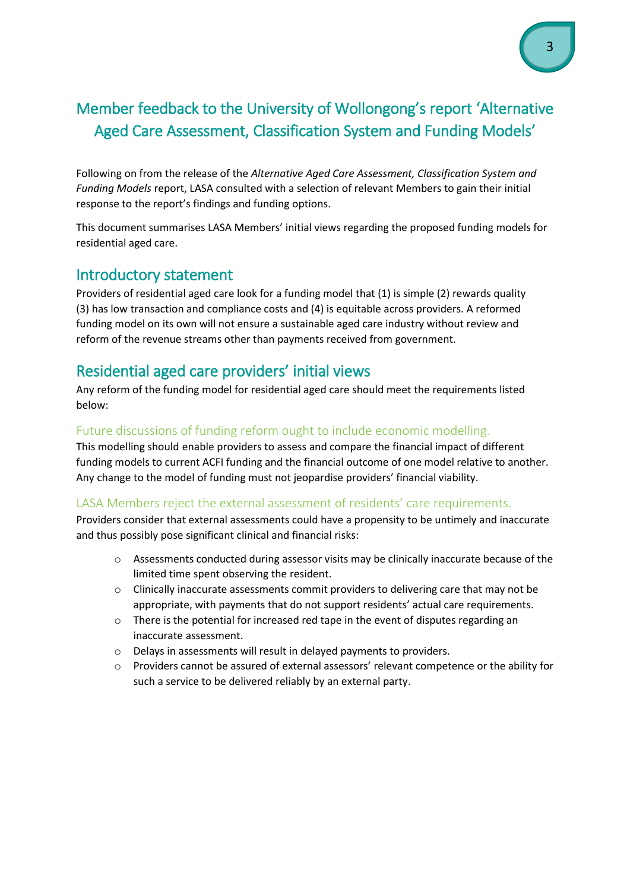## Member feedback to the University of Wollongong's report 'Alternative Aged Care Assessment, Classification System and Funding Models'

Following on from the release of the *Alternative Aged Care Assessment, Classification System and Funding Models* report, LASA consulted with a selection of relevant Members to gain their initial response to the report's findings and funding options.

This document summarises LASA Members' initial views regarding the proposed funding models for residential aged care.

## Introductory statement

Providers of residential aged care look for a funding model that (1) is simple (2) rewards quality (3) has low transaction and compliance costs and (4) is equitable across providers. A reformed funding model on its own will not ensure a sustainable aged care industry without review and reform of the revenue streams other than payments received from government.

## Residential aged care providers' initial views

Any reform of the funding model for residential aged care should meet the requirements listed below:

#### Future discussions of funding reform ought to include economic modelling.

This modelling should enable providers to assess and compare the financial impact of different funding models to current ACFI funding and the financial outcome of one model relative to another. Any change to the model of funding must not jeopardise providers' financial viability.

#### LASA Members reject the external assessment of residents' care requirements.

Providers consider that external assessments could have a propensity to be untimely and inaccurate and thus possibly pose significant clinical and financial risks:

- o Assessments conducted during assessor visits may be clinically inaccurate because of the limited time spent observing the resident.
- o Clinically inaccurate assessments commit providers to delivering care that may not be appropriate, with payments that do not support residents' actual care requirements.
- o There is the potential for increased red tape in the event of disputes regarding an inaccurate assessment.
- o Delays in assessments will result in delayed payments to providers.
- o Providers cannot be assured of external assessors' relevant competence or the ability for such a service to be delivered reliably by an external party.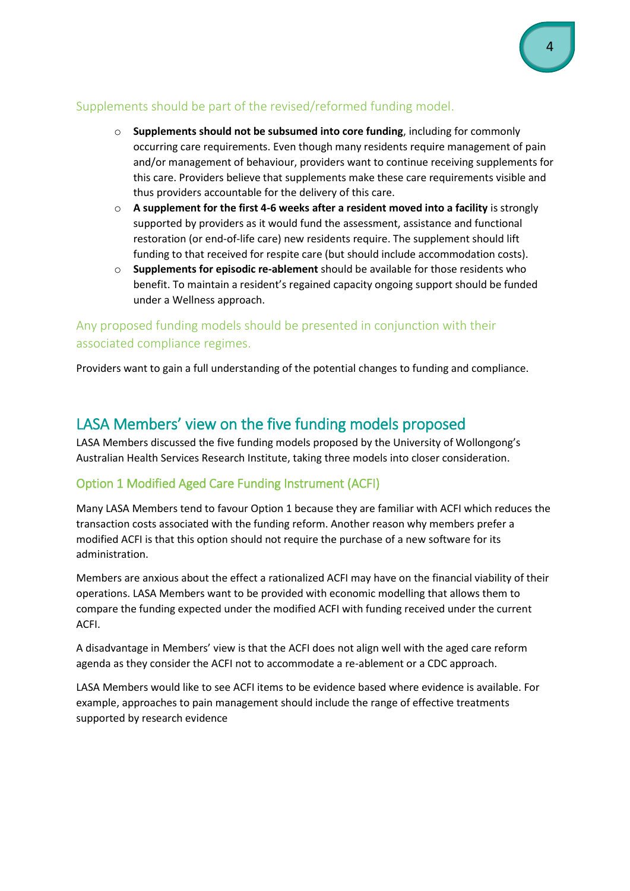#### Supplements should be part of the revised/reformed funding model.

- o **Supplements should not be subsumed into core funding**, including for commonly occurring care requirements. Even though many residents require management of pain and/or management of behaviour, providers want to continue receiving supplements for this care. Providers believe that supplements make these care requirements visible and thus providers accountable for the delivery of this care.
- o **A supplement for the first 4-6 weeks after a resident moved into a facility** is strongly supported by providers as it would fund the assessment, assistance and functional restoration (or end-of-life care) new residents require. The supplement should lift funding to that received for respite care (but should include accommodation costs).
- o **Supplements for episodic re-ablement** should be available for those residents who benefit. To maintain a resident's regained capacity ongoing support should be funded under a Wellness approach.

#### Any proposed funding models should be presented in conjunction with their associated compliance regimes.

Providers want to gain a full understanding of the potential changes to funding and compliance.

## LASA Members' view on the five funding models proposed

LASA Members discussed the five funding models proposed by the University of Wollongong's Australian Health Services Research Institute, taking three models into closer consideration.

#### Option 1 Modified Aged Care Funding Instrument (ACFI)

Many LASA Members tend to favour Option 1 because they are familiar with ACFI which reduces the transaction costs associated with the funding reform. Another reason why members prefer a modified ACFI is that this option should not require the purchase of a new software for its administration.

Members are anxious about the effect a rationalized ACFI may have on the financial viability of their operations. LASA Members want to be provided with economic modelling that allows them to compare the funding expected under the modified ACFI with funding received under the current ACFI.

A disadvantage in Members' view is that the ACFI does not align well with the aged care reform agenda as they consider the ACFI not to accommodate a re-ablement or a CDC approach.

LASA Members would like to see ACFI items to be evidence based where evidence is available. For example, approaches to pain management should include the range of effective treatments supported by research evidence